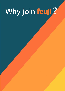# **Why join ?**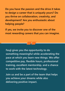**Do you have the passion and the drive it takes to design a career that is uniquely yours? Do you thrive on collaboration, creativity, and development? Are you enthusiastic about helping people?** 

**If yes, we invite you to discover one of the most rewarding careers that you can imagine.** 

**Feuji gives you the opportunity to do something meaningful while accelerating the pace at which you learn new things. We offer competitive pay, flexible hours, professional training, excellent mentorship, and a chance to work with the latest technology.**

**Join us and be a part of the team that helps you achieve your dreams while also delivering positive impact.**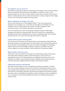## **An employer you can count on**

Feuji believes in applying the right mix of technology and strategy to solve customer problems. We are committed to providing solutions that delight our customers. For this, we hire exceptional talent who can focus on what matters, and help clients meet their needs. We also believe in walking the talk, and only make promises that we can keep. Integrity is Feuji's badge of honor and is something we expect from every Feujian.

## **Where employees are happy, every day**

Did you know that Feuji has a "Chief Happiness Officer"? That is how important the happiness of our employees is to us. We offer work-life balance and flexibility to all our employees. Feuji is an equal opportunity employer. We offer a progressive work environment, which is full of energy, enthusiasm, and excitement.

Our fun and friendly work culture and employee recognition programs create happy employees who perform at impressive levels. We want to make sure our employees are spending time with family, celebrating their successes, and getting enough rest. We respect the personal time of our teams and encourage switching off on weekends.

## **A place where passion meets growth**

Feuji's open work culture gives you the opportunities to gain experience professionally and personally. We give you the opportunity to up-skill as well as cross-skill yourself by exploring various domains. Our employees get exposure to the latest technologies and challenging projects which hone their knowledge, competence, expertise, and abilities. And in the process, together, we create remarkable customer experiences that generate delight.

#### **Where simple is the new smart**

Unlike others, we invest discipline and thought into making things simple and focusing on what really matters. Keeping it simple transcends through our work as well as our organizational structure. As a flat organization, our employees have easier access to the leadership. Our leaders value humility and support employees as they explore and grow, providing mentorship, tangible professional support, and emotional support.

## **Celebrating inclusion and diversity**

We make a conscious effort to ensure a respectful and productive workplace. To achieve that, we strive toward building an inclusive environment for all employees. We ensure that every employee feels respected, at ease, and safe in their work environments. We embrace a wide spectrum of individuals' distinctive characteristics and attributions like ethnicity, gender, age, caste, culture, and disability. By inculcating a culture of diversity, we give an opportunity to our employees to value individual differences and learn from different perspectives to achieve success.